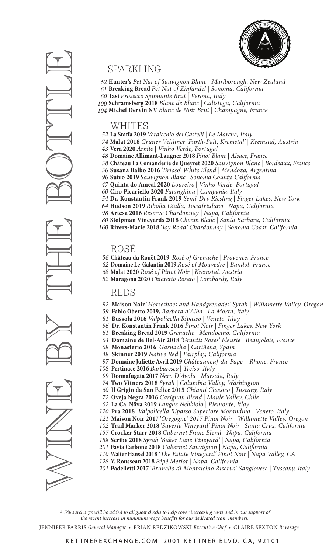

# SPARKLING

**Hunter's** *Pet Nat of Sauvignon Blanc | Marlborough, New Zealand* **Breaking Bread** *Pet Nat of Zinfandel | Sonoma, California* **Tasi** *Prosecco Spumante Brut | Verona, Italy* **Schramsberg 2018** *Blanc de Blanc | Calistoga, California* **Michel Dervin NV** *Blanc de Noir Brut | Champagne, France*

#### WHITES

- **La Staffa 2019** *Verdicchio dei Castelli | Le Marche, Italy*
- **Malat 2018** *Grüner Veltliner 'Furth-Palt, Kremstal' | Kremstal, Austria*
- **Vera 2020** *Arnito | Vinho Verde, Portugal*
- **Domaine Allimant-Laugner 2018** *Pinot Blanc | Alsace, France*
- **Château La Comanderie de Queyret 2020** *Sauvignon Blanc | Bordeaux, France*
- **Susana Balbo 2016 '***Brioso' White Blend | Mendoza, Argentina*
- **Sutro 2019** *Sauvignon Blanc | Sonoma County, California*
- **Quinta do Ameal 2020** *Loureiro | Vinho Verde, Portugal*
	- **Ciro Picariello 2020** *Falanghina | Campania, Italy*
- **Dr. Konstantin Frank 2019** *Semi-Dry Riesling | Finger Lakes, New York*
- **Hudson 2019** *Ribolla Gialla, Tocaifriulano | Napa, California*
- **Artesa 2016** *Reserve Chardonnay | Napa, California*
- **Stolpman Vineyards 2018** *Chenin Blanc | Santa Barbara, California*
- **Rivers-Marie 2018 '***Joy Road' Chardonnay | Sonoma Coast, California*

## ROSÉ

- **Château du Rouët 2019** *Rosé of Grenache | Provence, France*
- **Domaine Le Galantin 2019** *Rosé of Mouvedre | Bandol, France*
	- **Malat 2020** *Rosé of Pinot Noir | Kremstal, Austria*
	- **Maragona 2020** *Chiaretto Rosato | Lombardy, Italy*

### REDS

- **Maison Noir '***Horseshoes and Handgrenades' Syrah | Willamette Valley, Oregon*
- **Fabio Oberto 2019,** *Barbera d'Alba | La Morra, Italy*
- **Bussola 2016** *Valpolicella Ripasso | Veneto, Itlay*
- **Dr. Konstantin Frank 2016** *Pinot Noir | Finger Lakes, New York*
- **Breaking Bread 2019** *Grenache | Mendocino, California*
- **Domaine de Bel-Air 2018** *'Grantis Roses' Fleurie | Beaujolais, France*
- **Monasterio 2016** *Garnacha | Cariñena, Spain*
- **Skinner 2019** *Native Red | Fairplay, California*
- **Domaine Juliette Avril 2019** *Châteauneuf-du-Pape | Rhone, France*
- **Pertinace 2016** *Barbaresco | Treiso, Italy*
- **Donnafugata 2017** *Nero D'Avola | Marsala, Italy*
- **Two Vitners 2018** *Syrah | Columbia Valley, Washington*
- **Il Grigio da San Felice 2015** *Chianti Classico | Tuscany, Italy*
- **Oveja Negra 2016** *Carignan Blend | Maule Valley, Chile*
- **La Ca' Növa 2019** *Langhe Nebbiolo | Piemonte, Itlay*
- **Pra 2018** *Valpolicella Ripasso Superiore Morandina | Veneto, Italy*
- **Maison Noir 2017 '***Oregogne' 2017 Pinot Noir | Willamette Valley, Oregon*
- **Trail Marker 2018 '***Saveria Vineyard' Pinot Noir | Santa Cruz, California*
- **Crocker Starr 2018** *Cabernet Franc Blend | Napa, California*
- **Scribe 2018** *Syrah 'Baker Lane Vineyard' | Napa, California*
- **Favia Carbone 2018** *Cabernet Sauvignon | Napa, California*
- **Walter Hansel 2018** *'The Estate Vineyard' Pinot Noir | Napa Valley, CA*
- **Y. Rousseau 2018** *Pépé Merlot | Napa, California*
- **Padelletti 2017** *'Brunello di Montalcino Riserva' Sangiovese | Tuscany, Italy*

*A 5% surcharge will be added to all guest checks to help cover increasing costs and in our support of the recent increase in minimum wage benefits for our dedicated team members.*

JENNIFER FARRIS *General Manager •* BRIAN REDZIKOWSKI *Executive Chef •* CLAIRE SEXTON *Beverage* 

**MUNICE BY THE BUNDER PROPERTY ASSESS A PROPERTY AND SURVEY SURVEY AND SURVEY PROPERTY AND SURVEY PROPERTY AND SURVEY PROPERTY AND SURVEY PROPERTY AND SURVEY PROPERTY AND SURVEY PROPERTY AND TO DEREST DUE DUE DUE DUE DUE**